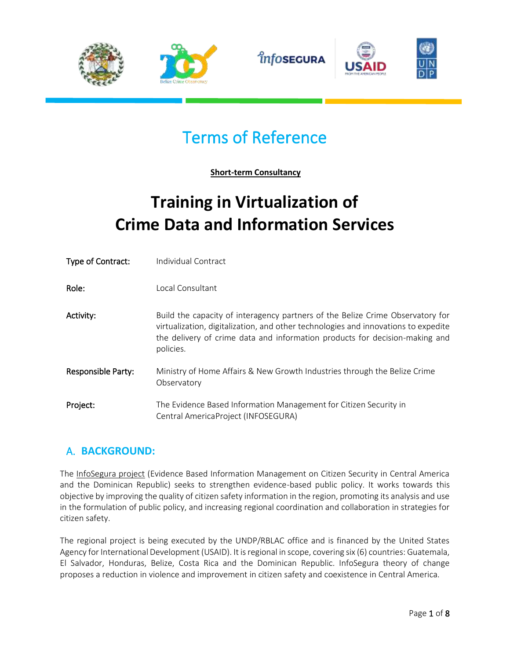

# Terms of Reference

**Short-term Consultancy**

# **Training in Virtualization of Crime Data and Information Services**

| Type of Contract:         | Individual Contract                                                                                                                                                                                                                                              |
|---------------------------|------------------------------------------------------------------------------------------------------------------------------------------------------------------------------------------------------------------------------------------------------------------|
| Role:                     | Local Consultant                                                                                                                                                                                                                                                 |
| Activity:                 | Build the capacity of interagency partners of the Belize Crime Observatory for<br>virtualization, digitalization, and other technologies and innovations to expedite<br>the delivery of crime data and information products for decision-making and<br>policies. |
| <b>Responsible Party:</b> | Ministry of Home Affairs & New Growth Industries through the Belize Crime<br>Observatory                                                                                                                                                                         |
| Project:                  | The Evidence Based Information Management for Citizen Security in<br>Central AmericaProject (INFOSEGURA)                                                                                                                                                         |

## A. **BACKGROUND:**

The [InfoSegura project](https://infosegura.org/quienes-somos-infosegura/) (Evidence Based Information Management on Citizen Security in Central America and the Dominican Republic) seeks to strengthen evidence-based public policy. It works towards this objective by improving the quality of citizen safety information in the region, promoting its analysis and use in the formulation of public policy, and increasing regional coordination and collaboration in strategies for citizen safety.

The regional project is being executed by the UNDP/RBLAC office and is financed by the United States Agency for International Development (USAID). It is regional in scope, covering six (6) countries: Guatemala, El Salvador, Honduras, Belize, Costa Rica and the Dominican Republic. InfoSegura theory of change proposes a reduction in violence and improvement in citizen safety and coexistence in Central America.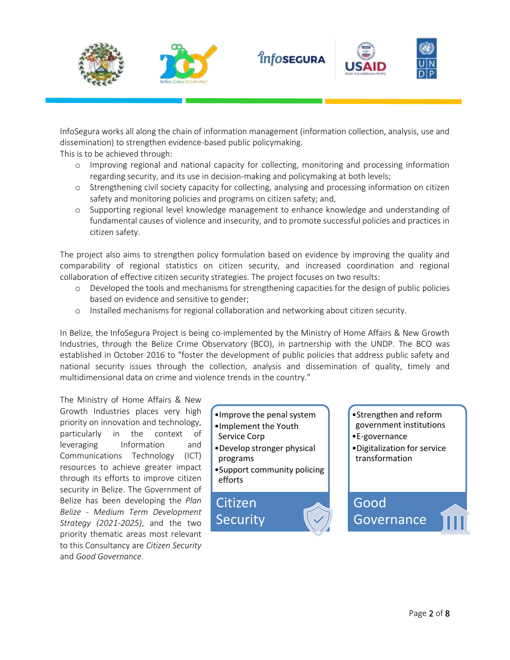







InfoSegura works all along the chain of information management (information collection, analysis, use and dissemination) to strengthen evidence-based public policymaking.

This is to be achieved through:

- o Improving regional and national capacity for collecting, monitoring and processing information regarding security, and its use in decision-making and policymaking at both levels;
- o Strengthening civil society capacity for collecting, analysing and processing information on citizen safety and monitoring policies and programs on citizen safety; and,
- o Supporting regional level knowledge management to enhance knowledge and understanding of fundamental causes of violence and insecurity, and to promote successful policies and practices in citizen safety.

The project also aims to strengthen policy formulation based on evidence by improving the quality and comparability of regional statistics on citizen security, and increased coordination and regional collaboration of effective citizen security strategies. The project focuses on two results:

- o Developed the tools and mechanisms for strengthening capacities for the design of public policies based on evidence and sensitive to gender;
- o Installed mechanisms for regional collaboration and networking about citizen security.

In Belize, the InfoSegura Project is being co-implemented by the Ministry of Home Affairs & New Growth Industries, through the Belize Crime Observatory (BCO), in partnership with the UNDP. The BCO was established in October 2016 to "foster the development of public policies that address public safety and national security issues through the collection, analysis and dissemination of quality, timely and multidimensional data on crime and violence trends in the country."

The Ministry of Home Affairs & New Growth Industries places very high priority on innovation and technology, particularly in the context of leveraging Information and Communications Technology (ICT) resources to achieve greater impact through its efforts to improve citizen security in Belize. The Government of Belize has been developing the *Plan Belize - Medium Term Development Strategy (2021-2025)*, and the two priority thematic areas most relevant to this Consultancy are *Citizen Security* and *Good Governance*.

- •Improve the penal system •Implement the Youth
- Service Corp
- •Develop stronger physical programs
- •Support community policing efforts





•Digitalization for service transformation

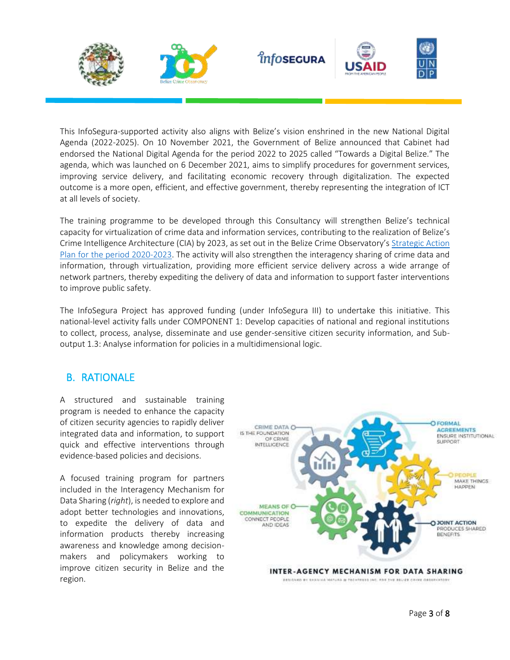

This InfoSegura-supported activity also aligns with Belize's vision enshrined in the new National Digital Agenda (2022-2025). On 10 November 2021, the Government of Belize announced that Cabinet had endorsed the National Digital Agenda for the period 2022 to 2025 called "Towards a Digital Belize." The agenda, which was launched on 6 December 2021, aims to simplify procedures for government services, improving service delivery, and facilitating economic recovery through digitalization. The expected outcome is a more open, efficient, and effective government, thereby representing the integration of ICT at all levels of society.

The training programme to be developed through this Consultancy will strengthen Belize's technical capacity for virtualization of crime data and information services, contributing to the realization of Belize's Crime Intelligence Architecture (CIA) by 2023, as set out in the Belize Crime Observatory's [Strategic Action](http://repository.techtressdesignstudio.com/file-details.php?file_id=4)  [Plan for the period 2020-2023.](http://repository.techtressdesignstudio.com/file-details.php?file_id=4) The activity will also strengthen the interagency sharing of crime data and information, through virtualization, providing more efficient service delivery across a wide arrange of network partners, thereby expediting the delivery of data and information to support faster interventions to improve public safety.

The InfoSegura Project has approved funding (under InfoSegura III) to undertake this initiative. This national-level activity falls under COMPONENT 1: Develop capacities of national and regional institutions to collect, process, analyse, disseminate and use gender-sensitive citizen security information, and Suboutput 1.3: Analyse information for policies in a multidimensional logic.

#### B. RATIONALE

A structured and sustainable training program is needed to enhance the capacity of citizen security agencies to rapidly deliver integrated data and information, to support quick and effective interventions through evidence-based policies and decisions.

A focused training program for partners included in the Interagency Mechanism for Data Sharing (*right*), is needed to explore and adopt better technologies and innovations, to expedite the delivery of data and information products thereby increasing awareness and knowledge among decisionmakers and policymakers working to improve citizen security in Belize and the region.

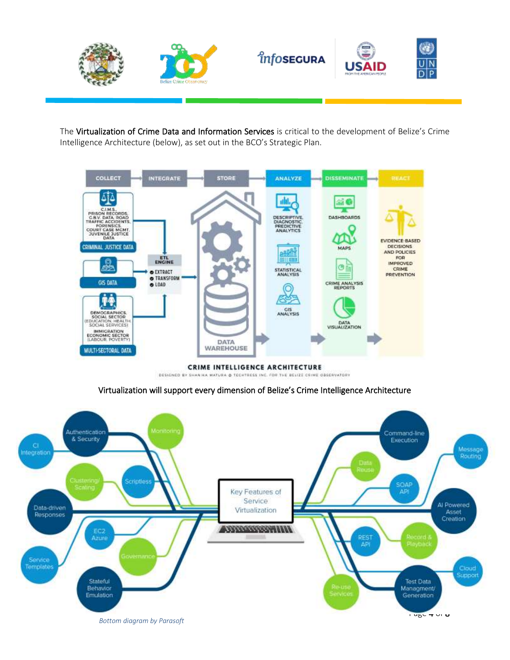

The Virtualization of Crime Data and Information Services is critical to the development of Belize's Crime Intelligence Architecture (below), as set out in the BCO's Strategic Plan.



CRIME INTELLIGENCE ARCHITECTURE DESIGNED BY SHANINA MATURA @ TECHTRESS INC. FOR THE BELIZE CRIME OBSERVATORY

Virtualization will support every dimension of Belize's Crime Intelligence Architecture

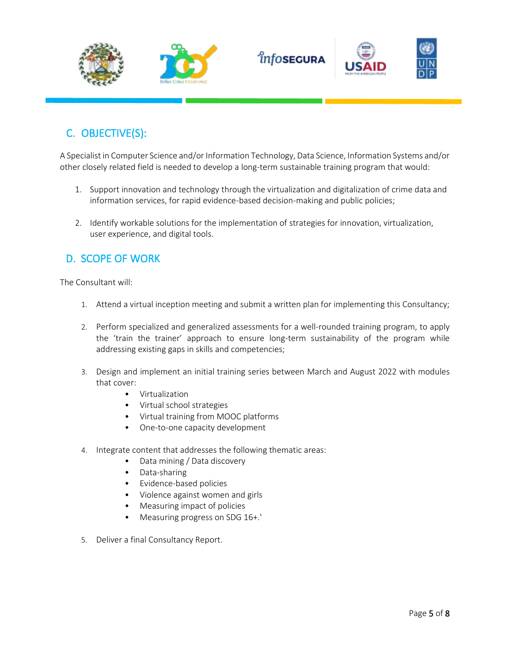

## C. OBJECTIVE(S):

A Specialist in Computer Science and/or Information Technology, Data Science, Information Systems and/or other closely related field is needed to develop a long-term sustainable training program that would:

- 1. Support innovation and technology through the virtualization and digitalization of crime data and information services, for rapid evidence-based decision-making and public policies;
- 2. Identify workable solutions for the implementation of strategies for innovation, virtualization, user experience, and digital tools.

## D. SCOPE OF WORK

The Consultant will:

- 1. Attend a virtual inception meeting and submit a written plan for implementing this Consultancy;
- 2. Perform specialized and generalized assessments for a well-rounded training program, to apply the 'train the trainer' approach to ensure long-term sustainability of the program while addressing existing gaps in skills and competencies;
- 3. Design and implement an initial training series between March and August 2022 with modules that cover:
	- Virtualization
	- Virtual school strategies
	- Virtual training from MOOC platforms
	- One-to-one capacity development
- 4. Integrate content that addresses the following thematic areas:
	- Data mining / Data discovery
	- Data-sharing
	- Evidence-based policies
	- Violence against women and girls
	- Measuring impact of policies
	- Measuring progress on SDG 16+.'
- 5. Deliver a final Consultancy Report.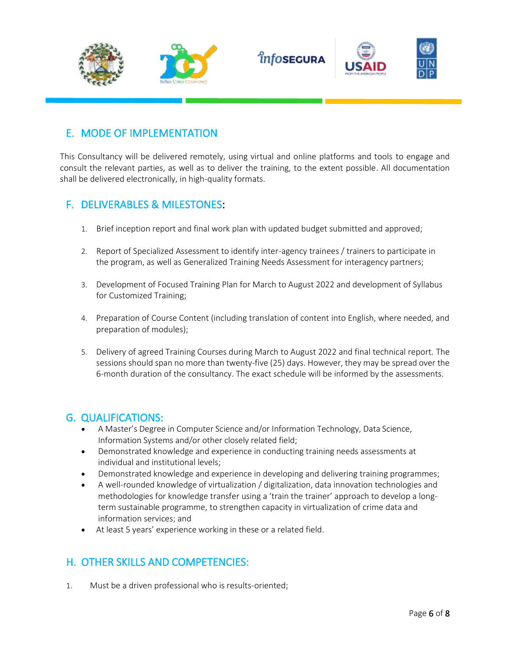

## E. MODE OF IMPLEMENTATION

This Consultancy will be delivered remotely, using virtual and online platforms and tools to engage and consult the relevant parties, as well as to deliver the training, to the extent possible. All documentation shall be delivered electronically, in high-quality formats.

## F. DELIVERABLES & MILESTONES:

- 1. Brief inception report and final work plan with updated budget submitted and approved;
- 2. Report of Specialized Assessment to identify inter-agency trainees / trainers to participate in the program, as well as Generalized Training Needs Assessment for interagency partners;
- 3. Development of Focused Training Plan for March to August 2022 and development of Syllabus for Customized Training;
- 4. Preparation of Course Content (including translation of content into English, where needed, and preparation of modules);
- 5. Delivery of agreed Training Courses during March to August 2022 and final technical report. The sessions should span no more than twenty-five (25) days. However, they may be spread over the 6-month duration of the consultancy. The exact schedule will be informed by the assessments.

#### G. QUALIFICATIONS:

- A Master's Degree in Computer Science and/or Information Technology, Data Science, Information Systems and/or other closely related field;
- Demonstrated knowledge and experience in conducting training needs assessments at individual and institutional levels;
- Demonstrated knowledge and experience in developing and delivering training programmes;
- A well-rounded knowledge of virtualization / digitalization, data innovation technologies and methodologies for knowledge transfer using a 'train the trainer' approach to develop a longterm sustainable programme, to strengthen capacity in virtualization of crime data and information services; and
- At least 5 years' experience working in these or a related field.

## H. OTHER SKILLS AND COMPETENCIES:

1. Must be a driven professional who is results-oriented;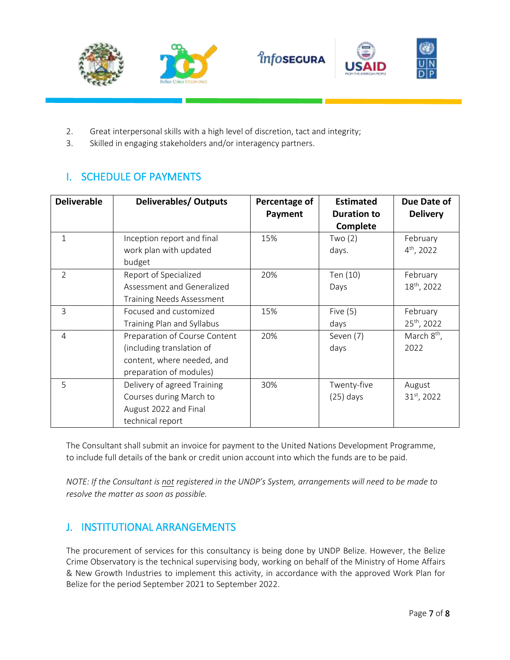





- 2. Great interpersonal skills with a high level of discretion, tact and integrity;
- 3. Skilled in engaging stakeholders and/or interagency partners.

## I. SCHEDULE OF PAYMENTS

| <b>Deliverable</b> | <b>Deliverables/ Outputs</b>                                                                                        | Percentage of<br>Payment | <b>Estimated</b><br><b>Duration to</b><br><b>Complete</b> | Due Date of<br><b>Delivery</b>      |
|--------------------|---------------------------------------------------------------------------------------------------------------------|--------------------------|-----------------------------------------------------------|-------------------------------------|
| $\mathbf{1}$       | Inception report and final<br>work plan with updated<br>budget                                                      | 15%                      | Two(2)<br>days.                                           | February<br>$4th$ , 2022            |
| $\overline{2}$     | Report of Specialized<br>Assessment and Generalized<br><b>Training Needs Assessment</b>                             | 20%                      | Ten (10)<br>Days                                          | February<br>18 <sup>th</sup> , 2022 |
| 3                  | Focused and customized<br>Training Plan and Syllabus                                                                | 15%                      | Five $(5)$<br>days                                        | February<br>25 <sup>th</sup> , 2022 |
| 4                  | Preparation of Course Content<br>(including translation of<br>content, where needed, and<br>preparation of modules) | 20%                      | Seven (7)<br>days                                         | March $8th$ ,<br>2022               |
| 5                  | Delivery of agreed Training<br>Courses during March to<br>August 2022 and Final<br>technical report                 | 30%                      | Twenty-five<br>$(25)$ days                                | August<br>31 <sup>st</sup> , 2022   |

The Consultant shall submit an invoice for payment to the United Nations Development Programme, to include full details of the bank or credit union account into which the funds are to be paid.

*NOTE: If the Consultant is not registered in the UNDP's System, arrangements will need to be made to resolve the matter as soon as possible.*

## J. INSTITUTIONAL ARRANGEMENTS

The procurement of services for this consultancy is being done by UNDP Belize. However, the Belize Crime Observatory is the technical supervising body, working on behalf of the Ministry of Home Affairs & New Growth Industries to implement this activity, in accordance with the approved Work Plan for Belize for the period September 2021 to September 2022.